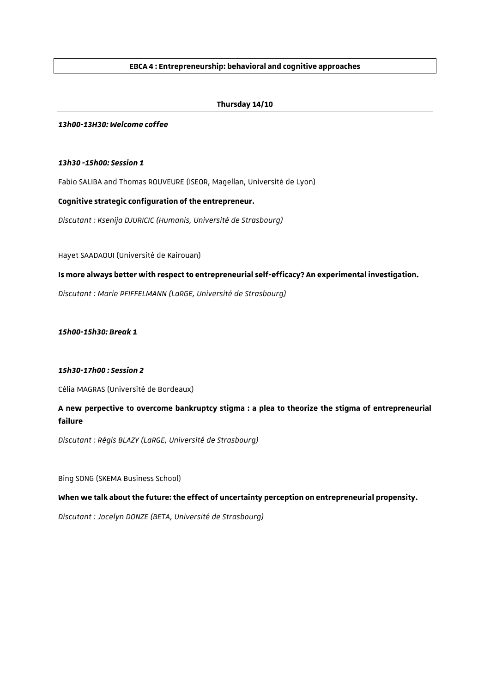# **EBCA 4 : Entrepreneurship: behavioral and cognitive approaches**

# **Thursday 14/10**

#### *13h00-13H30: Welcome coffee*

## *13h30 -15h00: Session 1*

Fabio SALIBA and Thomas ROUVEURE (ISEOR, Magellan, Université de Lyon)

## **Cognitive strategic configuration of the entrepreneur.**

*Discutant : Ksenija DJURICIC (Humanis, Université de Strasbourg)*

Hayet SAADAOUI (Université de Kairouan)

**Is more always better with respect to entrepreneurial self-efficacy? An experimental investigation.**

*Discutant : Marie PFIFFELMANN (LaRGE, Université de Strasbourg)*

*15h00-15h30: Break 1*

### *15h30-17h00 : Session 2*

Célia MAGRAS (Université de Bordeaux)

**A new perpective to overcome bankruptcy stigma : a plea to theorize the stigma of entrepreneurial failure**

*Discutant : Régis BLAZY (LaRGE, Université de Strasbourg)*

Bing SONG (SKEMA Business School)

**When we talk about the future: the effect of uncertainty perception on entrepreneurial propensity.**

*Discutant : Jocelyn DONZE (BETA, Université de Strasbourg)*